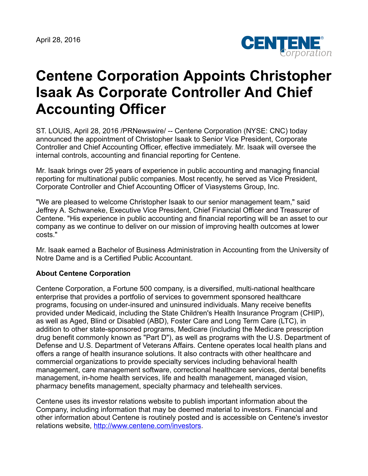

## **Centene Corporation Appoints Christopher Isaak As Corporate Controller And Chief Accounting Officer**

ST. LOUIS, April 28, 2016 /PRNewswire/ -- Centene Corporation (NYSE: CNC) today announced the appointment of Christopher Isaak to Senior Vice President, Corporate Controller and Chief Accounting Officer, effective immediately. Mr. Isaak will oversee the internal controls, accounting and financial reporting for Centene.

Mr. Isaak brings over 25 years of experience in public accounting and managing financial reporting for multinational public companies. Most recently, he served as Vice President, Corporate Controller and Chief Accounting Officer of Viasystems Group, Inc.

"We are pleased to welcome Christopher Isaak to our senior management team," said Jeffrey A. Schwaneke, Executive Vice President, Chief Financial Officer and Treasurer of Centene. "His experience in public accounting and financial reporting will be an asset to our company as we continue to deliver on our mission of improving health outcomes at lower costs."

Mr. Isaak earned a Bachelor of Business Administration in Accounting from the University of Notre Dame and is a Certified Public Accountant.

## **About Centene Corporation**

Centene Corporation, a Fortune 500 company, is a diversified, multi-national healthcare enterprise that provides a portfolio of services to government sponsored healthcare programs, focusing on under-insured and uninsured individuals. Many receive benefits provided under Medicaid, including the State Children's Health Insurance Program (CHIP), as well as Aged, Blind or Disabled (ABD), Foster Care and Long Term Care (LTC), in addition to other state-sponsored programs, Medicare (including the Medicare prescription drug benefit commonly known as "Part D"), as well as programs with the U.S. Department of Defense and U.S. Department of Veterans Affairs. Centene operates local health plans and offers a range of health insurance solutions. It also contracts with other healthcare and commercial organizations to provide specialty services including behavioral health management, care management software, correctional healthcare services, dental benefits management, in-home health services, life and health management, managed vision, pharmacy benefits management, specialty pharmacy and telehealth services.

Centene uses its investor relations website to publish important information about the Company, including information that may be deemed material to investors. Financial and other information about Centene is routinely posted and is accessible on Centene's investor relations website, <http://www.centene.com/investors>.